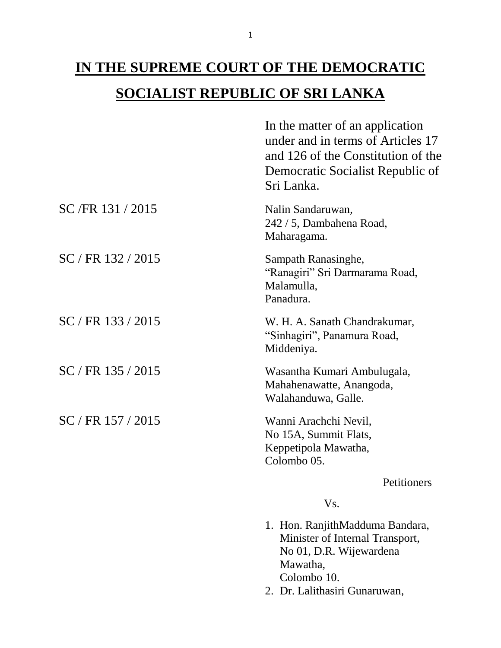## **IN THE SUPREME COURT OF THE DEMOCRATIC SOCIALIST REPUBLIC OF SRI LANKA**

|                      | In the matter of an application<br>under and in terms of Articles 17<br>and 126 of the Constitution of the<br>Democratic Socialist Republic of<br>Sri Lanka. |
|----------------------|--------------------------------------------------------------------------------------------------------------------------------------------------------------|
| SC/FR 131/2015       | Nalin Sandaruwan,<br>242 / 5, Dambahena Road,<br>Maharagama.                                                                                                 |
| SC / FR 132 / 2015   | Sampath Ranasinghe,<br>"Ranagiri" Sri Darmarama Road,<br>Malamulla,<br>Panadura.                                                                             |
| $SC / FR$ 133 / 2015 | W. H. A. Sanath Chandrakumar,<br>"Sinhagiri", Panamura Road,<br>Middeniya.                                                                                   |
| $SC / FR$ 135 / 2015 | Wasantha Kumari Ambulugala,<br>Mahahenawatte, Anangoda,<br>Walahanduwa, Galle.                                                                               |
| $SC / FR$ 157 / 2015 | Wanni Arachchi Nevil,<br>No 15A, Summit Flats,<br>Keppetipola Mawatha,<br>Colombo 05.                                                                        |
|                      | Petitioners                                                                                                                                                  |
|                      | Vs.                                                                                                                                                          |

- 1. Hon. RanjithMadduma Bandara, Minister of Internal Transport, No 01, D.R. Wijewardena Mawatha, Colombo 10.
- 2. Dr. Lalithasiri Gunaruwan,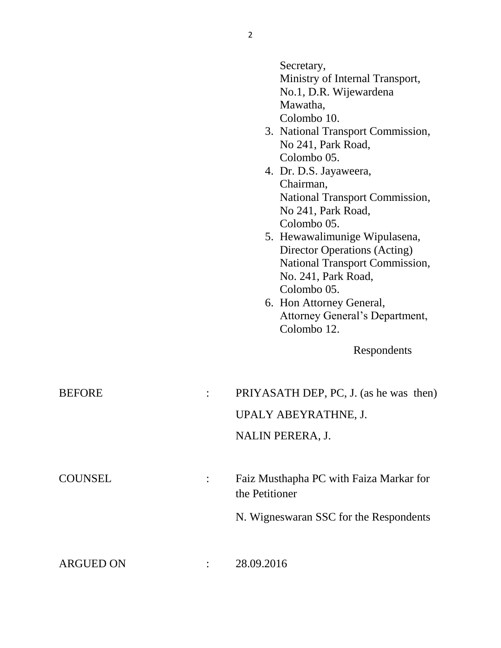|                  |                | Secretary,<br>Ministry of Internal Transport,<br>No.1, D.R. Wijewardena<br>Mawatha,<br>Colombo 10.<br>3. National Transport Commission,<br>No 241, Park Road,<br>Colombo 05.<br>4. Dr. D.S. Jayaweera,<br>Chairman,<br><b>National Transport Commission,</b><br>No 241, Park Road,<br>Colombo 05.<br>5. Hewawalimunige Wipulasena,<br><b>Director Operations (Acting)</b><br><b>National Transport Commission,</b><br>No. 241, Park Road,<br>Colombo 05.<br>6. Hon Attorney General,<br>Attorney General's Department,<br>Colombo 12.<br>Respondents |
|------------------|----------------|------------------------------------------------------------------------------------------------------------------------------------------------------------------------------------------------------------------------------------------------------------------------------------------------------------------------------------------------------------------------------------------------------------------------------------------------------------------------------------------------------------------------------------------------------|
| <b>BEFORE</b>    |                | PRIYASATH DEP, PC, J. (as he was then)<br>UPALY ABEYRATHNE, J.<br>NALIN PERERA, J.                                                                                                                                                                                                                                                                                                                                                                                                                                                                   |
| <b>COUNSEL</b>   | the Petitioner | Faiz Musthapha PC with Faiza Markar for<br>N. Wigneswaran SSC for the Respondents                                                                                                                                                                                                                                                                                                                                                                                                                                                                    |
| <b>ARGUED ON</b> | 28.09.2016     |                                                                                                                                                                                                                                                                                                                                                                                                                                                                                                                                                      |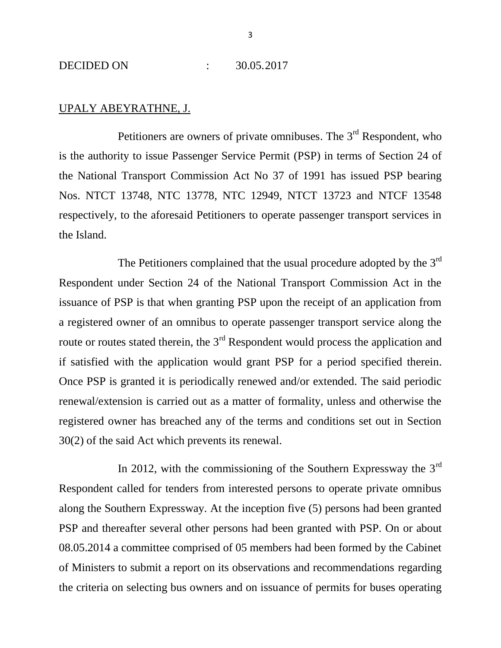## UPALY ABEYRATHNE, J.

Petitioners are owners of private omnibuses. The 3<sup>rd</sup> Respondent, who is the authority to issue Passenger Service Permit (PSP) in terms of Section 24 of the National Transport Commission Act No 37 of 1991 has issued PSP bearing Nos. NTCT 13748, NTC 13778, NTC 12949, NTCT 13723 and NTCF 13548 respectively, to the aforesaid Petitioners to operate passenger transport services in the Island.

The Petitioners complained that the usual procedure adopted by the  $3<sup>rd</sup>$ Respondent under Section 24 of the National Transport Commission Act in the issuance of PSP is that when granting PSP upon the receipt of an application from a registered owner of an omnibus to operate passenger transport service along the route or routes stated therein, the  $3<sup>rd</sup>$  Respondent would process the application and if satisfied with the application would grant PSP for a period specified therein. Once PSP is granted it is periodically renewed and/or extended. The said periodic renewal/extension is carried out as a matter of formality, unless and otherwise the registered owner has breached any of the terms and conditions set out in Section 30(2) of the said Act which prevents its renewal.

In 2012, with the commissioning of the Southern Expressway the  $3<sup>rd</sup>$ Respondent called for tenders from interested persons to operate private omnibus along the Southern Expressway. At the inception five (5) persons had been granted PSP and thereafter several other persons had been granted with PSP. On or about 08.05.2014 a committee comprised of 05 members had been formed by the Cabinet of Ministers to submit a report on its observations and recommendations regarding the criteria on selecting bus owners and on issuance of permits for buses operating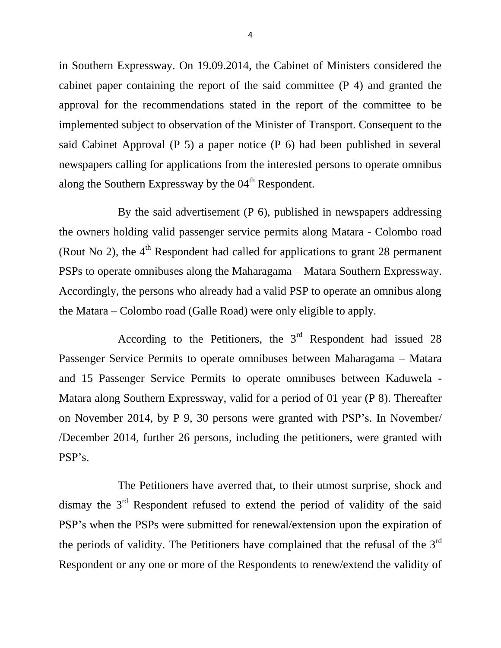in Southern Expressway. On 19.09.2014, the Cabinet of Ministers considered the cabinet paper containing the report of the said committee (P 4) and granted the approval for the recommendations stated in the report of the committee to be implemented subject to observation of the Minister of Transport. Consequent to the said Cabinet Approval (P 5) a paper notice (P 6) had been published in several newspapers calling for applications from the interested persons to operate omnibus along the Southern Expressway by the 04<sup>th</sup> Respondent.

By the said advertisement (P 6), published in newspapers addressing the owners holding valid passenger service permits along Matara - Colombo road (Rout No 2), the  $4<sup>th</sup>$  Respondent had called for applications to grant 28 permanent PSPs to operate omnibuses along the Maharagama – Matara Southern Expressway. Accordingly, the persons who already had a valid PSP to operate an omnibus along the Matara – Colombo road (Galle Road) were only eligible to apply.

According to the Petitioners, the  $3<sup>rd</sup>$  Respondent had issued 28 Passenger Service Permits to operate omnibuses between Maharagama – Matara and 15 Passenger Service Permits to operate omnibuses between Kaduwela - Matara along Southern Expressway, valid for a period of 01 year (P 8). Thereafter on November 2014, by P 9, 30 persons were granted with PSP's. In November/ /December 2014, further 26 persons, including the petitioners, were granted with PSP's.

The Petitioners have averred that, to their utmost surprise, shock and dismay the  $3<sup>rd</sup>$  Respondent refused to extend the period of validity of the said PSP's when the PSPs were submitted for renewal/extension upon the expiration of the periods of validity. The Petitioners have complained that the refusal of the 3<sup>rd</sup> Respondent or any one or more of the Respondents to renew/extend the validity of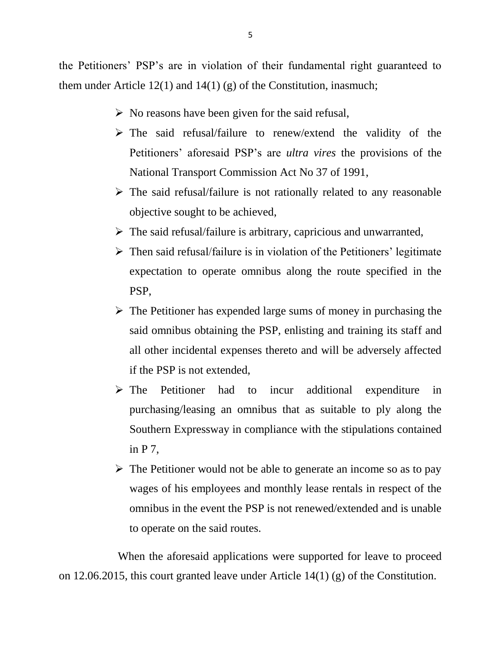the Petitioners' PSP's are in violation of their fundamental right guaranteed to them under Article 12(1) and 14(1) (g) of the Constitution, inasmuch;

- $\triangleright$  No reasons have been given for the said refusal,
- The said refusal/failure to renew/extend the validity of the Petitioners' aforesaid PSP's are *ultra vires* the provisions of the National Transport Commission Act No 37 of 1991,
- $\triangleright$  The said refusal/failure is not rationally related to any reasonable objective sought to be achieved,
- $\triangleright$  The said refusal/failure is arbitrary, capricious and unwarranted,
- $\triangleright$  Then said refusal/failure is in violation of the Petitioners' legitimate expectation to operate omnibus along the route specified in the PSP,
- $\triangleright$  The Petitioner has expended large sums of money in purchasing the said omnibus obtaining the PSP, enlisting and training its staff and all other incidental expenses thereto and will be adversely affected if the PSP is not extended,
- The Petitioner had to incur additional expenditure in purchasing/leasing an omnibus that as suitable to ply along the Southern Expressway in compliance with the stipulations contained in P 7,
- $\triangleright$  The Petitioner would not be able to generate an income so as to pay wages of his employees and monthly lease rentals in respect of the omnibus in the event the PSP is not renewed/extended and is unable to operate on the said routes.

When the aforesaid applications were supported for leave to proceed on 12.06.2015, this court granted leave under Article 14(1) (g) of the Constitution.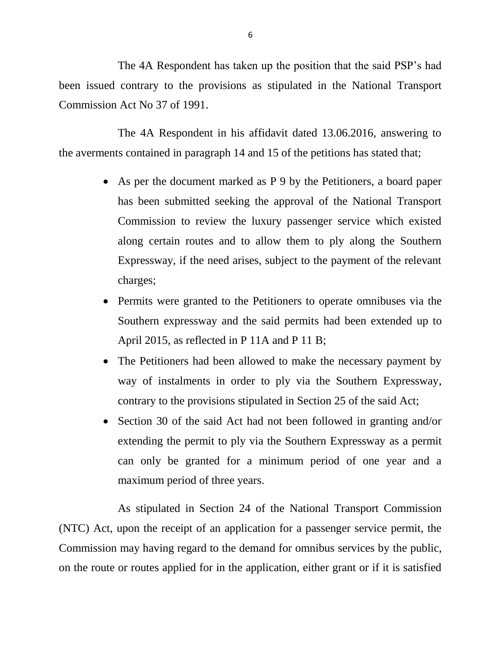The 4A Respondent has taken up the position that the said PSP's had been issued contrary to the provisions as stipulated in the National Transport Commission Act No 37 of 1991.

The 4A Respondent in his affidavit dated 13.06.2016, answering to the averments contained in paragraph 14 and 15 of the petitions has stated that;

- As per the document marked as P 9 by the Petitioners, a board paper has been submitted seeking the approval of the National Transport Commission to review the luxury passenger service which existed along certain routes and to allow them to ply along the Southern Expressway, if the need arises, subject to the payment of the relevant charges;
- Permits were granted to the Petitioners to operate omnibuses via the Southern expressway and the said permits had been extended up to April 2015, as reflected in P 11A and P 11 B;
- The Petitioners had been allowed to make the necessary payment by way of instalments in order to ply via the Southern Expressway, contrary to the provisions stipulated in Section 25 of the said Act;
- Section 30 of the said Act had not been followed in granting and/or extending the permit to ply via the Southern Expressway as a permit can only be granted for a minimum period of one year and a maximum period of three years.

As stipulated in Section 24 of the National Transport Commission (NTC) Act, upon the receipt of an application for a passenger service permit, the Commission may having regard to the demand for omnibus services by the public, on the route or routes applied for in the application, either grant or if it is satisfied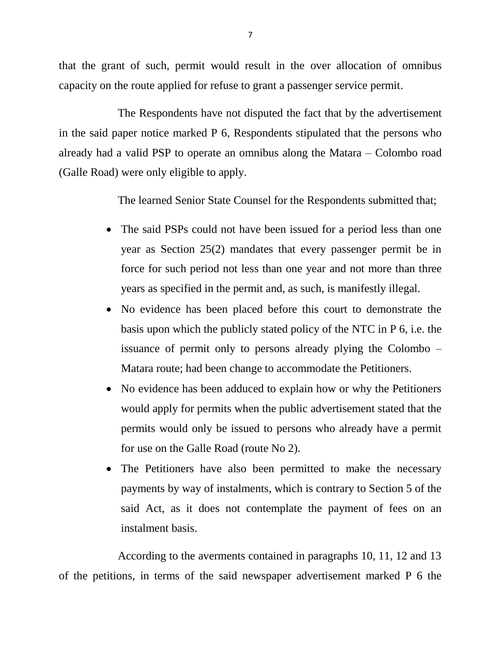that the grant of such, permit would result in the over allocation of omnibus capacity on the route applied for refuse to grant a passenger service permit.

The Respondents have not disputed the fact that by the advertisement in the said paper notice marked P 6, Respondents stipulated that the persons who already had a valid PSP to operate an omnibus along the Matara – Colombo road (Galle Road) were only eligible to apply.

The learned Senior State Counsel for the Respondents submitted that;

- The said PSPs could not have been issued for a period less than one year as Section 25(2) mandates that every passenger permit be in force for such period not less than one year and not more than three years as specified in the permit and, as such, is manifestly illegal.
- No evidence has been placed before this court to demonstrate the basis upon which the publicly stated policy of the NTC in P 6, i.e. the issuance of permit only to persons already plying the Colombo – Matara route; had been change to accommodate the Petitioners.
- No evidence has been adduced to explain how or why the Petitioners would apply for permits when the public advertisement stated that the permits would only be issued to persons who already have a permit for use on the Galle Road (route No 2).
- The Petitioners have also been permitted to make the necessary payments by way of instalments, which is contrary to Section 5 of the said Act, as it does not contemplate the payment of fees on an instalment basis.

According to the averments contained in paragraphs 10, 11, 12 and 13 of the petitions, in terms of the said newspaper advertisement marked P 6 the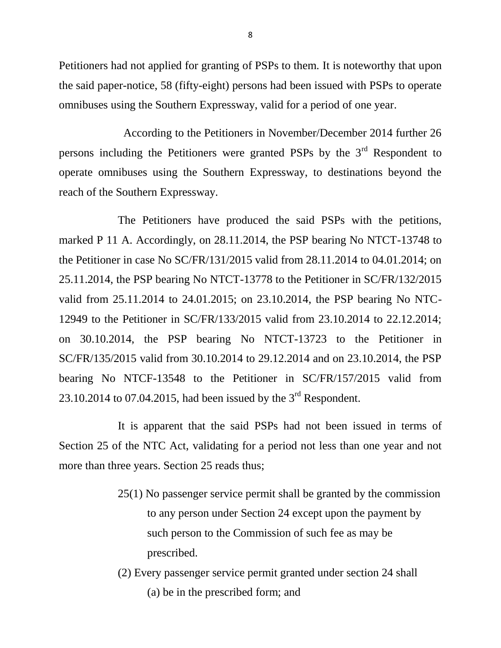Petitioners had not applied for granting of PSPs to them. It is noteworthy that upon the said paper-notice, 58 (fifty-eight) persons had been issued with PSPs to operate omnibuses using the Southern Expressway, valid for a period of one year.

 According to the Petitioners in November/December 2014 further 26 persons including the Petitioners were granted PSPs by the 3<sup>rd</sup> Respondent to operate omnibuses using the Southern Expressway, to destinations beyond the reach of the Southern Expressway.

The Petitioners have produced the said PSPs with the petitions, marked P 11 A. Accordingly, on 28.11.2014, the PSP bearing No NTCT-13748 to the Petitioner in case No SC/FR/131/2015 valid from 28.11.2014 to 04.01.2014; on 25.11.2014, the PSP bearing No NTCT-13778 to the Petitioner in SC/FR/132/2015 valid from 25.11.2014 to 24.01.2015; on 23.10.2014, the PSP bearing No NTC-12949 to the Petitioner in SC/FR/133/2015 valid from 23.10.2014 to 22.12.2014; on 30.10.2014, the PSP bearing No NTCT-13723 to the Petitioner in SC/FR/135/2015 valid from 30.10.2014 to 29.12.2014 and on 23.10.2014, the PSP bearing No NTCF-13548 to the Petitioner in SC/FR/157/2015 valid from 23.10.2014 to 07.04.2015, had been issued by the  $3<sup>rd</sup>$  Respondent.

It is apparent that the said PSPs had not been issued in terms of Section 25 of the NTC Act, validating for a period not less than one year and not more than three years. Section 25 reads thus;

- 25(1) No passenger service permit shall be granted by the commission to any person under Section 24 except upon the payment by such person to the Commission of such fee as may be prescribed.
- (2) Every passenger service permit granted under section 24 shall (a) be in the prescribed form; and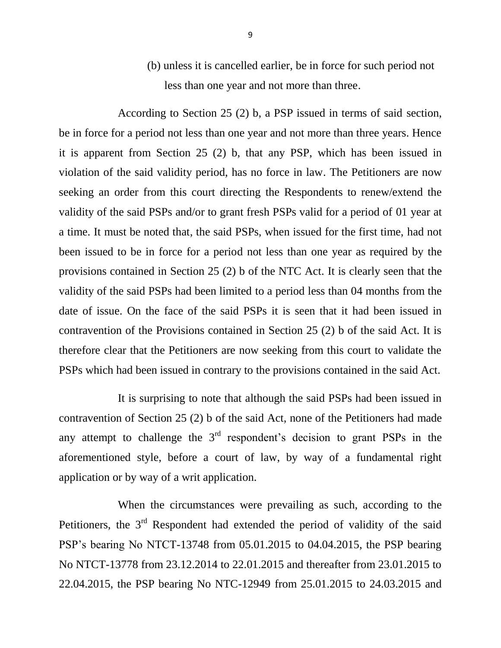(b) unless it is cancelled earlier, be in force for such period not less than one year and not more than three.

According to Section 25 (2) b, a PSP issued in terms of said section, be in force for a period not less than one year and not more than three years. Hence it is apparent from Section 25 (2) b, that any PSP, which has been issued in violation of the said validity period, has no force in law. The Petitioners are now seeking an order from this court directing the Respondents to renew/extend the validity of the said PSPs and/or to grant fresh PSPs valid for a period of 01 year at a time. It must be noted that, the said PSPs, when issued for the first time, had not been issued to be in force for a period not less than one year as required by the provisions contained in Section 25 (2) b of the NTC Act. It is clearly seen that the validity of the said PSPs had been limited to a period less than 04 months from the date of issue. On the face of the said PSPs it is seen that it had been issued in contravention of the Provisions contained in Section 25 (2) b of the said Act. It is therefore clear that the Petitioners are now seeking from this court to validate the PSPs which had been issued in contrary to the provisions contained in the said Act.

It is surprising to note that although the said PSPs had been issued in contravention of Section 25 (2) b of the said Act, none of the Petitioners had made any attempt to challenge the  $3<sup>rd</sup>$  respondent's decision to grant PSPs in the aforementioned style, before a court of law, by way of a fundamental right application or by way of a writ application.

When the circumstances were prevailing as such, according to the Petitioners, the 3<sup>rd</sup> Respondent had extended the period of validity of the said PSP's bearing No NTCT-13748 from 05.01.2015 to 04.04.2015, the PSP bearing No NTCT-13778 from 23.12.2014 to 22.01.2015 and thereafter from 23.01.2015 to 22.04.2015, the PSP bearing No NTC-12949 from 25.01.2015 to 24.03.2015 and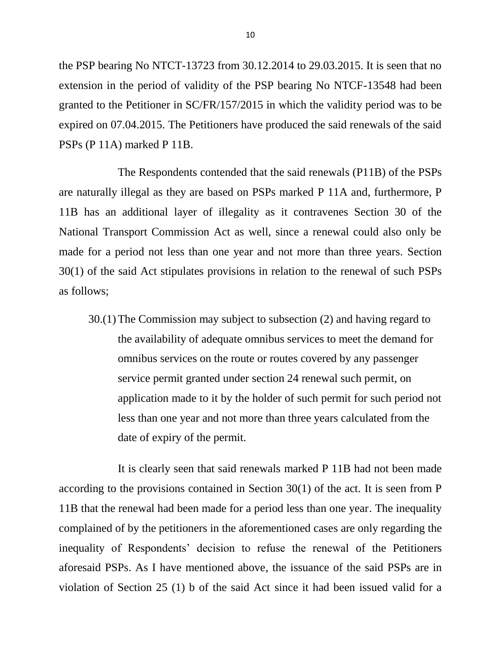the PSP bearing No NTCT-13723 from 30.12.2014 to 29.03.2015. It is seen that no extension in the period of validity of the PSP bearing No NTCF-13548 had been granted to the Petitioner in SC/FR/157/2015 in which the validity period was to be expired on 07.04.2015. The Petitioners have produced the said renewals of the said PSPs (P 11A) marked P 11B.

The Respondents contended that the said renewals (P11B) of the PSPs are naturally illegal as they are based on PSPs marked P 11A and, furthermore, P 11B has an additional layer of illegality as it contravenes Section 30 of the National Transport Commission Act as well, since a renewal could also only be made for a period not less than one year and not more than three years. Section 30(1) of the said Act stipulates provisions in relation to the renewal of such PSPs as follows;

30.(1)The Commission may subject to subsection (2) and having regard to the availability of adequate omnibus services to meet the demand for omnibus services on the route or routes covered by any passenger service permit granted under section 24 renewal such permit, on application made to it by the holder of such permit for such period not less than one year and not more than three years calculated from the date of expiry of the permit.

It is clearly seen that said renewals marked P 11B had not been made according to the provisions contained in Section 30(1) of the act. It is seen from P 11B that the renewal had been made for a period less than one year. The inequality complained of by the petitioners in the aforementioned cases are only regarding the inequality of Respondents' decision to refuse the renewal of the Petitioners aforesaid PSPs. As I have mentioned above, the issuance of the said PSPs are in violation of Section 25 (1) b of the said Act since it had been issued valid for a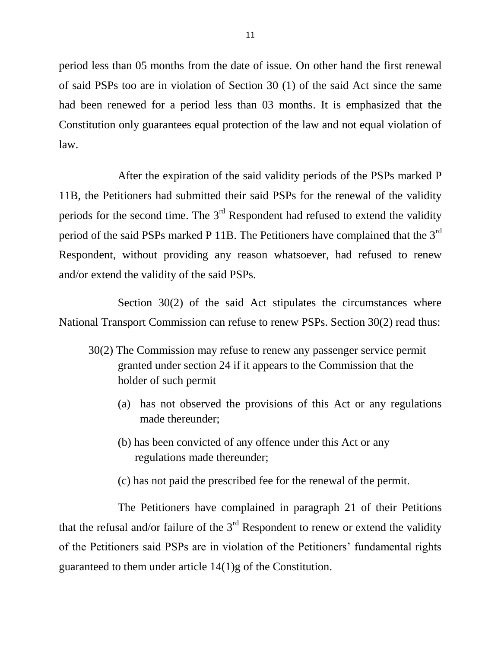period less than 05 months from the date of issue. On other hand the first renewal of said PSPs too are in violation of Section 30 (1) of the said Act since the same had been renewed for a period less than 03 months. It is emphasized that the Constitution only guarantees equal protection of the law and not equal violation of law.

After the expiration of the said validity periods of the PSPs marked P 11B, the Petitioners had submitted their said PSPs for the renewal of the validity periods for the second time. The  $3<sup>rd</sup>$  Respondent had refused to extend the validity period of the said PSPs marked P 11B. The Petitioners have complained that the  $3<sup>rd</sup>$ Respondent, without providing any reason whatsoever, had refused to renew and/or extend the validity of the said PSPs.

Section 30(2) of the said Act stipulates the circumstances where National Transport Commission can refuse to renew PSPs. Section 30(2) read thus:

- 30(2) The Commission may refuse to renew any passenger service permit granted under section 24 if it appears to the Commission that the holder of such permit
	- (a) has not observed the provisions of this Act or any regulations made thereunder;
	- (b) has been convicted of any offence under this Act or any regulations made thereunder;
	- (c) has not paid the prescribed fee for the renewal of the permit.

The Petitioners have complained in paragraph 21 of their Petitions that the refusal and/or failure of the  $3<sup>rd</sup>$  Respondent to renew or extend the validity of the Petitioners said PSPs are in violation of the Petitioners' fundamental rights guaranteed to them under article 14(1)g of the Constitution.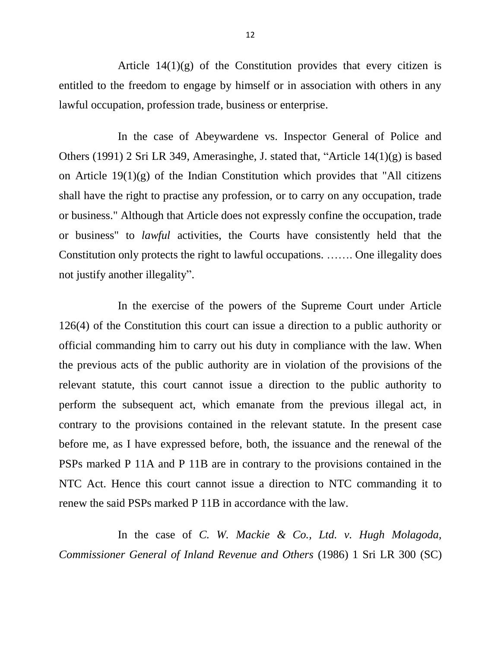Article  $14(1)(g)$  of the Constitution provides that every citizen is entitled to the freedom to engage by himself or in association with others in any lawful occupation, profession trade, business or enterprise.

In the case of Abeywardene vs. Inspector General of Police and Others (1991) 2 Sri LR 349, Amerasinghe, J. stated that, "Article 14(1)(g) is based on Article  $19(1)(g)$  of the Indian Constitution which provides that "All citizens" shall have the right to practise any profession, or to carry on any occupation, trade or business." Although that Article does not expressly confine the occupation, trade or business" to *lawful* activities, the Courts have consistently held that the Constitution only protects the right to lawful occupations. ……. One illegality does not justify another illegality".

In the exercise of the powers of the Supreme Court under Article 126(4) of the Constitution this court can issue a direction to a public authority or official commanding him to carry out his duty in compliance with the law. When the previous acts of the public authority are in violation of the provisions of the relevant statute, this court cannot issue a direction to the public authority to perform the subsequent act, which emanate from the previous illegal act, in contrary to the provisions contained in the relevant statute. In the present case before me, as I have expressed before, both, the issuance and the renewal of the PSPs marked P 11A and P 11B are in contrary to the provisions contained in the NTC Act. Hence this court cannot issue a direction to NTC commanding it to renew the said PSPs marked P 11B in accordance with the law.

In the case of *C. W. Mackie & Co., Ltd. v. Hugh Molagoda, Commissioner General of Inland Revenue and Others* (1986) 1 Sri LR 300 (SC)